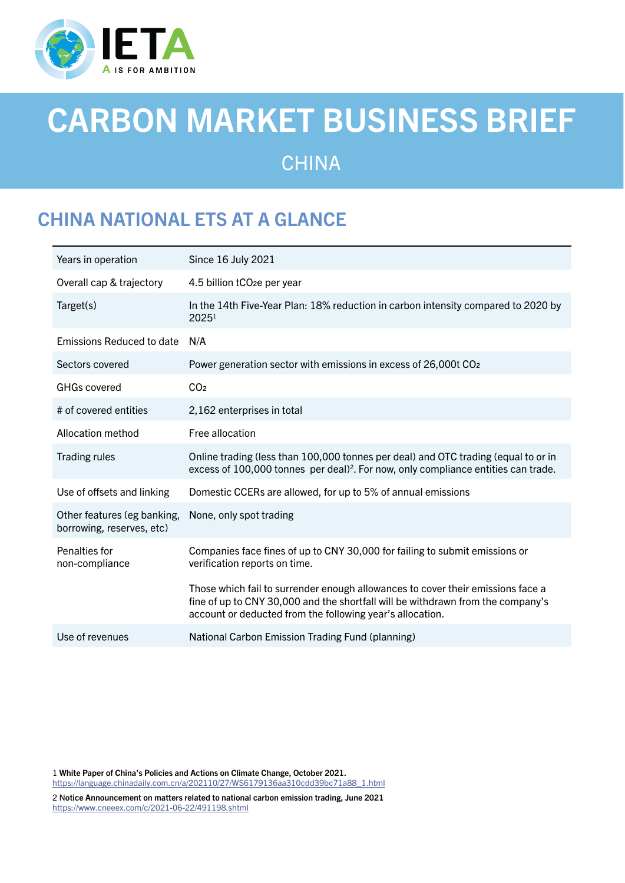

# CARBON MARKET BUSINESS BRIEF **CHINA**

# CHINA NATIONAL ETS AT A GLANCE

| Years in operation                                       | Since 16 July 2021                                                                                                                                                                                                              |
|----------------------------------------------------------|---------------------------------------------------------------------------------------------------------------------------------------------------------------------------------------------------------------------------------|
| Overall cap & trajectory                                 | 4.5 billion tCO <sub>2</sub> e per year                                                                                                                                                                                         |
| Target(s)                                                | In the 14th Five-Year Plan: 18% reduction in carbon intensity compared to 2020 by<br>2025 <sup>1</sup>                                                                                                                          |
| <b>Emissions Reduced to date</b>                         | N/A                                                                                                                                                                                                                             |
| Sectors covered                                          | Power generation sector with emissions in excess of 26,000t CO <sub>2</sub>                                                                                                                                                     |
| <b>GHGs covered</b>                                      | CO <sub>2</sub>                                                                                                                                                                                                                 |
| # of covered entities                                    | 2,162 enterprises in total                                                                                                                                                                                                      |
| Allocation method                                        | Free allocation                                                                                                                                                                                                                 |
| <b>Trading rules</b>                                     | Online trading (less than 100,000 tonnes per deal) and OTC trading (equal to or in<br>excess of 100,000 tonnes per deal) <sup>2</sup> . For now, only compliance entities can trade.                                            |
| Use of offsets and linking                               | Domestic CCERs are allowed, for up to 5% of annual emissions                                                                                                                                                                    |
| Other features (eg banking,<br>borrowing, reserves, etc) | None, only spot trading                                                                                                                                                                                                         |
| Penalties for<br>non-compliance                          | Companies face fines of up to CNY 30,000 for failing to submit emissions or<br>verification reports on time.                                                                                                                    |
|                                                          | Those which fail to surrender enough allowances to cover their emissions face a<br>fine of up to CNY 30,000 and the shortfall will be withdrawn from the company's<br>account or deducted from the following year's allocation. |
| Use of revenues                                          | National Carbon Emission Trading Fund (planning)                                                                                                                                                                                |

1 White Paper of China's Policies and Actions on Climate Change, October 2021. [https://language.chinadaily.com.cn/a/202110/27/WS6179136aa310cdd39bc71a88\\_1.html](https://language.chinadaily.com.cn/a/202110/27/WS6179136aa310cdd39bc71a88_1.html)

2 Notice Announcement on matters related to national carbon emission trading, June 2021 <https://www.cneeex.com/c/2021-06-22/491198.shtml>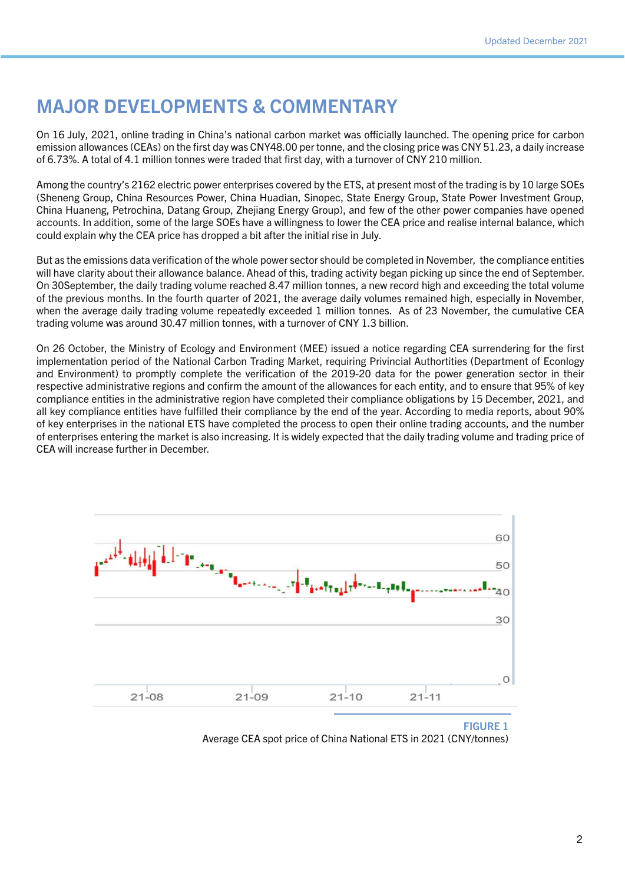## MAJOR DEVELOPMENTS & COMMENTARY

On 16 July, 2021, online trading in China's national carbon market was officially launched. The opening price for carbon emission allowances (CEAs) on the first day was CNY48.00 per tonne, and the closing price was CNY 51.23, a daily increase of 6.73%. A total of 4.1 million tonnes were traded that first day, with a turnover of CNY 210 million.

Among the country's 2162 electric power enterprises covered by the ETS, at present most of the trading is by 10 large SOEs (Sheneng Group, China Resources Power, China Huadian, Sinopec, State Energy Group, State Power Investment Group, China Huaneng, Petrochina, Datang Group, Zhejiang Energy Group), and few of the other power companies have opened accounts. In addition, some of the large SOEs have a willingness to lower the CEA price and realise internal balance, which could explain why the CEA price has dropped a bit after the initial rise in July.

But as the emissions data verification of the whole power sector should be completed in November, the compliance entities will have clarity about their allowance balance. Ahead of this, trading activity began picking up since the end of September. On 30September, the daily trading volume reached 8.47 million tonnes, a new record high and exceeding the total volume of the previous months. In the fourth quarter of 2021, the average daily volumes remained high, especially in November, when the average daily trading volume repeatedly exceeded 1 million tonnes. As of 23 November, the cumulative CEA trading volume was around 30.47 million tonnes, with a turnover of CNY 1.3 billion.

On 26 October, the Ministry of Ecology and Environment (MEE) issued a notice regarding CEA surrendering for the first implementation period of the National Carbon Trading Market, requiring Privincial Authortities (Department of Econlogy and Environment) to promptly complete the verification of the 2019-20 data for the power generation sector in their respective administrative regions and confirm the amount of the allowances for each entity, and to ensure that 95% of key compliance entities in the administrative region have completed their compliance obligations by 15 December, 2021, and all key compliance entities have fulfilled their compliance by the end of the year. According to media reports, about 90% of key enterprises in the national ETS have completed the process to open their online trading accounts, and the number of enterprises entering the market is also increasing. It is widely expected that the daily trading volume and trading price of CEA will increase further in December.



FIGURE 1 Average CEA spot price of China National ETS in 2021 (CNY/tonnes)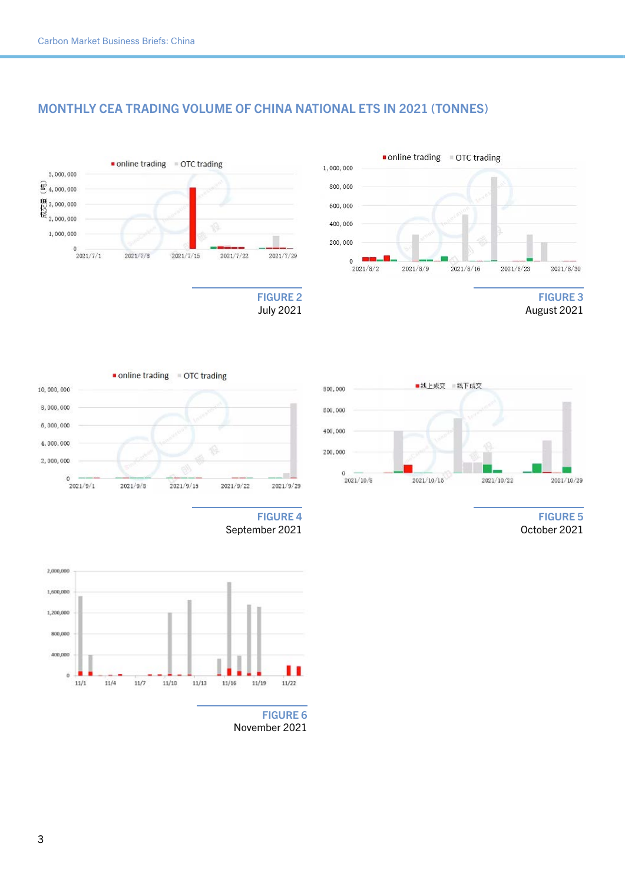5,000,000  $\widehat{\mathbf{E}}$  4,000,000

 $\begin{array}{c} 111 \\ 2,000,000 \\ \hline 12 \\ 2,000,000 \end{array}$ 

1,000,000

 $0\atop 2021/7/1$ 

#### MONTHLY CEA TRADING VOLUME OF CHINA NATIONAL ETS IN 2021 (TONNES)







July 2021





online trading = OTC trading

 $2021/7/15$ 

 $2021/7/8$ 

FIGURE 5 October 2021





November 2021